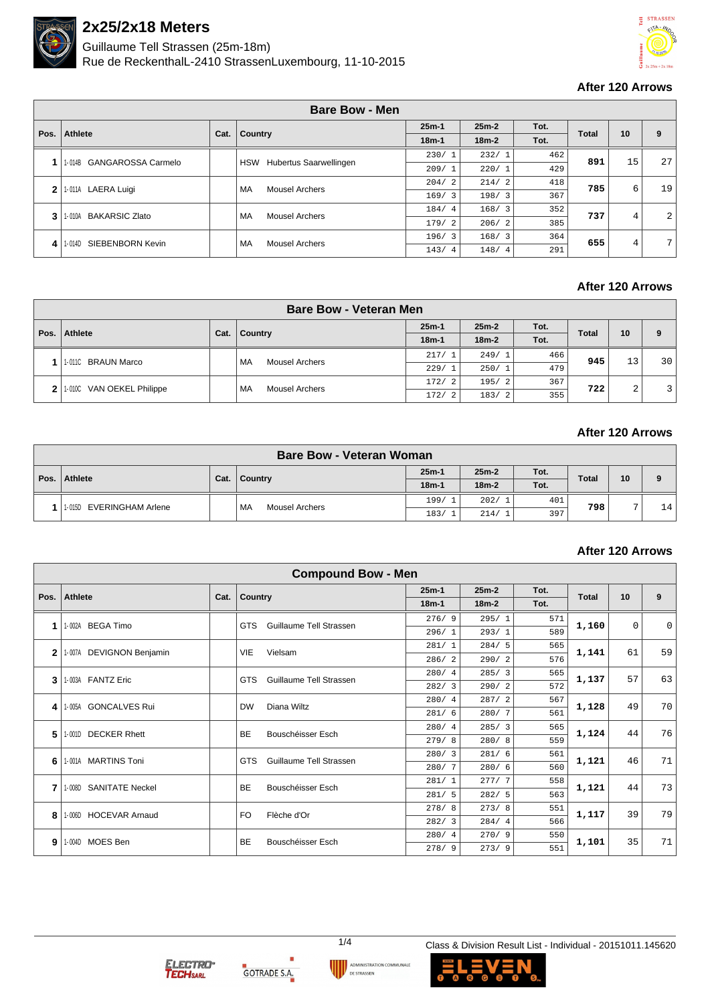

Guillaume Tell Strassen (25m-18m)

Rue de Reckenthal L-2410 Strassen Luxembourg, 11-10-2015



### **After 120 Arrows**

|              |                                     |      | <b>Bare Bow - Men</b>                |         |         |      |              |    |                 |    |
|--------------|-------------------------------------|------|--------------------------------------|---------|---------|------|--------------|----|-----------------|----|
| Pos.         | <b>Athlete</b>                      |      | Country                              | $25m-1$ | $25m-2$ | Tot. | <b>Total</b> | 10 | 9               |    |
|              |                                     | Cat. |                                      | $18m-1$ | $18m-2$ | Tot. |              |    |                 |    |
|              | <b>GANGAROSSA Carmelo</b><br>1-014B |      | Hubertus Saarwellingen<br><b>HSW</b> | 230/1   | 232/1   | 462  | 891          | 15 | 27              |    |
|              |                                     |      |                                      | 209/1   | 220/1   | 429  |              |    |                 |    |
| $\mathbf{2}$ | 1-011A LAERA Luigi                  |      | MA<br><b>Mousel Archers</b>          | 204/2   | 214/2   | 418  | 785          |    | 6               | 19 |
|              |                                     |      |                                      | 169/3   | 198/3   | 367  |              |    |                 |    |
| 3            | <b>BAKARSIC Zlato</b><br>1-010A     |      | MA<br><b>Mousel Archers</b>          | 184/4   | 168/3   | 352  | 737          | 4  | 2               |    |
|              |                                     |      |                                      | 179/2   | 206/2   | 385  |              |    |                 |    |
| 4            | SIEBENBORN Kevin<br>1-014D          |      |                                      | 196/3   | 168/3   | 364  | 655          | 4  | $7\overline{ }$ |    |
|              |                                     |      | MA<br><b>Mousel Archers</b>          | 143/4   | 148/4   | 291  |              |    |                 |    |

## **After 120 Arrows**

|      | <b>Bare Bow - Veteran Men</b>  |                       |                             |         |         |                |                |    |                 |  |  |
|------|--------------------------------|-----------------------|-----------------------------|---------|---------|----------------|----------------|----|-----------------|--|--|
| Pos. |                                |                       | <b>Country</b>              | $25m-1$ | $25m-2$ | Tot.           |                |    |                 |  |  |
|      | <b>Athlete</b>                 | Cat.                  |                             | $18m-1$ | $18m-2$ | Tot.           | <b>Total</b>   | 10 | 9               |  |  |
|      | 1-011C BRAUN Marco             |                       | MA                          | 217/1   | 249/1   | 466            | 945            |    | 30 <sup>1</sup> |  |  |
|      |                                | <b>Mousel Archers</b> | 229/1                       | 250/1   | 479     |                | 13             |    |                 |  |  |
|      |                                |                       | 172/<br>195/2<br>- 2        | 367     | 722     | $\overline{2}$ | $\overline{3}$ |    |                 |  |  |
| 2    | VAN OEKEL Philippe<br>$1-010C$ |                       | MA<br><b>Mousel Archers</b> | 172/    | 183/2   | 355            |                |    |                 |  |  |

#### **After 120 Arrows**

|  | <b>Bare Bow - Veteran Woman</b> |  |                             |         |         |      |              |     |    |  |  |
|--|---------------------------------|--|-----------------------------|---------|---------|------|--------------|-----|----|--|--|
|  | Pos.   Athlete                  |  |                             | $25m-1$ | $25m-2$ |      |              |     |    |  |  |
|  |                                 |  | Cat. Country                | $18m-1$ | $18m-2$ | Tot. | <b>Total</b> | 10  | 9  |  |  |
|  | 1-015D EVERINGHAM Arlene        |  |                             |         | 199/    | 202/ | 401          | 798 | -  |  |  |
|  |                                 |  | MA<br><b>Mousel Archers</b> | 183/    | 214/1   | 397  |              |     | 14 |  |  |

### **After 120 Arrows**

|              | <b>Compound Bow - Men</b>       |      |            |                         |         |         |      |              |    |          |  |
|--------------|---------------------------------|------|------------|-------------------------|---------|---------|------|--------------|----|----------|--|
|              |                                 |      |            |                         | $25m-1$ | $25m-2$ | Tot. |              | 10 | 9        |  |
| Pos.         | <b>Athlete</b>                  | Cat. | Country    |                         | $18m-1$ | $18m-2$ | Tot. | <b>Total</b> |    |          |  |
|              | 1-002A BEGA Timo                |      | <b>GTS</b> | Guillaume Tell Strassen | 276/9   | 295/1   | 571  | 1,160        | 0  | $\Omega$ |  |
|              |                                 |      |            |                         | 296/1   | 293/1   | 589  |              |    |          |  |
| $\mathbf{2}$ | 1-007A DEVIGNON Benjamin        |      | VIE        | Vielsam                 | 281/1   | 284/5   | 565  | 1,141        | 61 | 59       |  |
|              |                                 |      |            |                         | 286/2   | 290/2   | 576  |              |    |          |  |
| 3            | 1-003A FANTZ Eric               |      | <b>GTS</b> | Guillaume Tell Strassen | 280/4   | 285/3   | 565  | 1,137        | 57 | 63       |  |
|              |                                 |      |            |                         | 282/3   | 290/2   | 572  |              |    |          |  |
| 4            | <b>GONCALVES Rui</b><br>1-005A  |      | <b>DW</b>  | Diana Wiltz             | 280/4   | 287/2   | 567  | 1,128        | 49 | 70       |  |
|              |                                 |      |            |                         | 281/6   | 280/7   | 561  |              |    |          |  |
| 5            | 1-001D DECKER Rhett             |      | <b>BE</b>  | Bouschéisser Esch       | 280/4   | 285/3   | 565  | 1,124        | 44 | 76       |  |
|              |                                 |      |            |                         | 279/8   | 280/8   | 559  |              |    |          |  |
| 6            | 1-001A MARTINS Toni             |      | <b>GTS</b> | Guillaume Tell Strassen | 280/3   | 281/6   | 561  | 1,121        | 46 | 71       |  |
|              |                                 |      |            |                         | 280/7   | 280/6   | 560  |              |    |          |  |
| 7            | 1-008D SANITATE Neckel          |      | <b>BE</b>  | Bouschéisser Esch       | 281/1   | 277/7   | 558  | 1,121        | 44 | 73       |  |
|              |                                 |      |            |                         | 281/5   | 282/5   | 563  |              |    |          |  |
| 8            | <b>HOCEVAR Arnaud</b><br>1-006D |      | <b>FO</b>  | Flèche d'Or             | 278/8   | 273/8   | 551  | 1,117        | 39 | 79       |  |
|              |                                 |      |            |                         | 282/3   | 284/4   | 566  |              |    |          |  |
| 9            | 1-004D MOES Ben                 |      | <b>BE</b>  | Bouschéisser Esch       | 280/4   | 270/9   | 550  | 1,101        | 35 | 71       |  |
|              |                                 |      |            |                         | 278/9   | 273/9   | 551  |              |    |          |  |







1/4 Class & Division Result List - Individual - 20151011.145620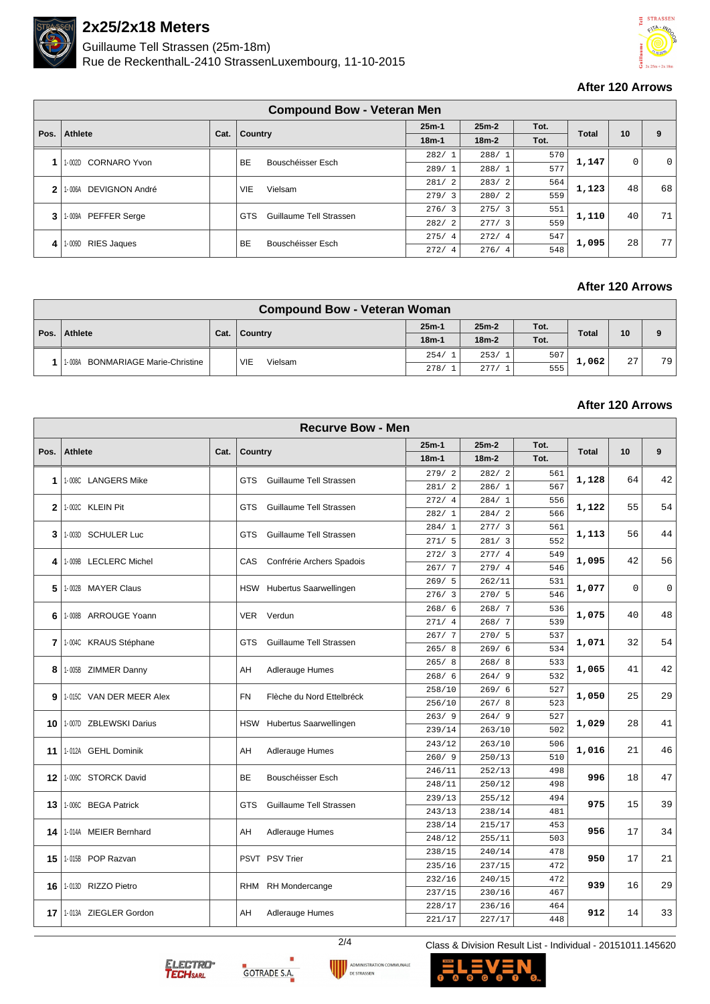

Guillaume Tell Strassen (25m-18m)

Rue de Reckenthal L-2410 Strassen Luxembourg, 11-10-2015



#### **After 120 Arrows**

|                | <b>Compound Bow - Veteran Men</b> |      |                                |                         |         |         |      |              |    |                |    |    |
|----------------|-----------------------------------|------|--------------------------------|-------------------------|---------|---------|------|--------------|----|----------------|----|----|
| Pos.           | Athlete                           | Cat. |                                |                         | $25m-1$ | $25m-2$ | Tot. | <b>Total</b> | 10 | 9              |    |    |
|                |                                   |      | <b>Country</b>                 |                         | $18m-1$ | $18m-2$ | Tot. |              |    |                |    |    |
|                | <b>CORNARO Yvon</b><br>1-002D     |      | <b>BE</b>                      | Bouschéisser Esch       | 282/1   | 288/1   | 570  | 1,147        | 0  | $\overline{0}$ |    |    |
|                |                                   |      |                                |                         | 289/1   | 288/1   | 577  |              |    |                |    |    |
| $\overline{2}$ | DEVIGNON André<br>1-006A          |      | <b>VIE</b>                     | Vielsam                 | 281/2   | 283/2   | 564  | 1,123        |    |                | 48 | 68 |
|                |                                   |      |                                |                         | 279/3   | 280/2   | 559  |              |    |                |    |    |
| 3              | 1-009A PEFFER Serge               |      | <b>GTS</b>                     | Guillaume Tell Strassen | 276/3   | 275/3   | 551  | 1,110        | 40 | 71             |    |    |
|                |                                   |      |                                |                         | 282/2   | 277/3   | 559  |              |    |                |    |    |
| 4              | <b>RIES Jaques</b><br>1-009D      |      |                                |                         | 275/4   | 272/4   | 547  | 1,095        | 28 | 77             |    |    |
|                |                                   |      | <b>BE</b><br>Bouschéisser Esch | 272/4                   | 276/4   | 548     |      |              |    |                |    |    |

## **After 120 Arrows**

|      | <b>Compound Bow - Veteran Woman</b>         |      |                |                            |         |      |              |    |          |  |  |
|------|---------------------------------------------|------|----------------|----------------------------|---------|------|--------------|----|----------|--|--|
| Pos. | Athlete                                     |      |                | $25m-1$<br>$25m-2$<br>Tot. |         |      | <b>Total</b> |    | $\Omega$ |  |  |
|      |                                             | Cat. | Country        | $18m-1$                    | $18m-2$ | Tot. |              | 10 |          |  |  |
|      | <b>BONMARIAGE Marie-Christine</b><br>1-008A |      | VIE<br>Vielsam | 254/7                      | 253/1   | 507  | 1,062        | 27 | 79       |  |  |
|      |                                             |      |                | 278/                       | 277/1   | 555  |              |    |          |  |  |

#### **After 120 Arrows**

|              |                          |      |            | <b>Recurve Bow - Men</b>      |           |         |            |              |    |             |
|--------------|--------------------------|------|------------|-------------------------------|-----------|---------|------------|--------------|----|-------------|
| Pos.         | <b>Athlete</b>           | Cat. | Country    |                               | $25m-1$   | $25m-2$ | Tot.       | <b>Total</b> | 10 | 9           |
|              |                          |      |            |                               | $18m-1$   | $18m-2$ | Tot.       |              |    |             |
| 1            | 1-008C LANGERS Mike      |      | GTS.       | Guillaume Tell Strassen       | 279/2     | 282/2   | 561        | 1,128        | 64 | 42          |
|              |                          |      |            |                               | 281/<br>2 | 286/1   | 567        |              |    |             |
| $\mathbf{2}$ | 1-002C KLEIN Pit         |      | GTS        | Guillaume Tell Strassen       | 272/4     | 284/1   | 556        | 1,122        | 55 | 54          |
|              |                          |      |            |                               | 282/1     | 284/2   | 566        |              |    |             |
| 3            | 1-003D SCHULER Luc       |      | <b>GTS</b> | Guillaume Tell Strassen       | 284/1     | 277/3   | 561        | 1,113        | 56 | 44          |
|              |                          |      |            |                               | 271/5     | 281/3   | 552        |              |    |             |
| 4            | 1-009B LECLERC Michel    |      |            | CAS Confrérie Archers Spadois | 272/3     | 277/4   | 549        | 1,095        | 42 | 56          |
|              |                          |      |            |                               | 267/7     | 279/4   | 546        |              |    |             |
| 5            | 1-002B MAYER Claus       |      |            | HSW Hubertus Saarwellingen    | 269/5     | 262/11  | 531        | 1,077        | 0  | $\mathbf 0$ |
|              |                          |      |            |                               | 276/3     | 270/5   | 546        |              |    |             |
| 6            | 1-008B ARROUGE Yoann     |      |            | VER Verdun                    | 268/<br>6 | 268/7   | 536        | 1,075        | 40 | 48          |
|              |                          |      |            |                               | 271/4     | 268/7   | 539        |              |    |             |
| 7            | 1-004C KRAUS Stéphane    |      | GTS        | Guillaume Tell Strassen       | 267/7     | 270/5   | 537        | 1,071        | 32 | 54          |
|              |                          |      |            |                               | 265/<br>8 | 269/6   | 534        |              |    |             |
| 8            | 1-005B ZIMMER Danny      |      | AH         | Adlerauge Humes               | 265/<br>8 | 268/8   | 533        | 1,065        | 41 | 42          |
|              |                          |      |            |                               | 268/6     | 264/9   | 532        |              |    |             |
| 9            | 1-015C VAN DER MEER Alex |      | <b>FN</b>  | Flèche du Nord Ettelbréck     | 258/10    | 269/6   | 527        | 1,050        | 25 | 29          |
|              |                          |      |            |                               | 256/10    | 267/8   | 523        |              |    |             |
| 10           | 1-007D ZBLEWSKI Darius   |      |            | HSW Hubertus Saarwellingen    | 263/9     | 264/9   | 527        | 1,029        | 28 | 41          |
|              |                          |      |            |                               | 239/14    | 263/10  | 502        |              |    |             |
| 11           | 1-012A GEHL Dominik      |      | AH         | Adlerauge Humes               | 243/12    | 263/10  | 506        | 1,016        | 21 | 46          |
|              |                          |      |            |                               | 260/9     | 250/13  | 510        |              |    |             |
| 12           | 1-009C STORCK David      |      | <b>BE</b>  | Bouschéisser Esch             | 246/11    | 252/13  | 498        | 996          | 18 | 47          |
|              |                          |      |            |                               | 248/11    | 250/12  | 498        |              |    |             |
| 13           | 1-006C BEGA Patrick      |      | <b>GTS</b> | Guillaume Tell Strassen       | 239/13    | 255/12  | 494        | 975          | 15 | 39          |
|              |                          |      |            |                               | 243/13    | 238/14  | 481        |              |    |             |
| 14           | 1-014A MEIER Bernhard    |      | AH         | Adlerauge Humes               | 238/14    | 215/17  | 453        | 956          | 17 | 34          |
|              |                          |      |            |                               | 248/12    | 255/11  | 503        |              |    |             |
| 15           | 1-015B POP Razvan        |      |            | PSVT PSV Trier                | 238/15    | 240/14  | 478        | 950          | 17 | 21          |
|              |                          |      |            |                               | 235/16    | 237/15  | 472        |              |    |             |
| 16           | 1-013D RIZZO Pietro      |      |            | RHM RH Mondercange            | 232/16    | 240/15  | 472        | 939          | 16 | 29          |
|              |                          |      |            |                               | 237/15    | 230/16  | 467        |              |    |             |
| 17           | 1-013A ZIEGLER Gordon    |      | AH         | Adlerauge Humes               | 228/17    | 236/16  | 464<br>448 | 912          | 14 | 33          |
|              |                          |      |            |                               | 221/17    | 227/17  |            |              |    |             |







2/4 Class & Division Result List - Individual - 20151011.145620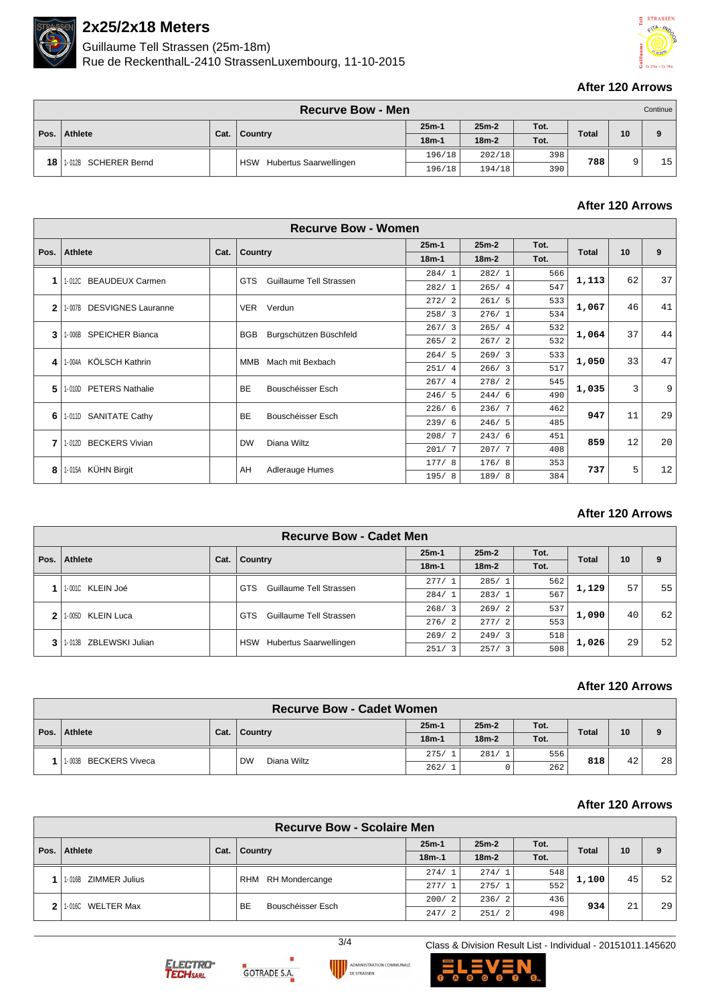

Guillaume Tell Strassen (25m-18m)

Rue de Reckenthal L-2410 Strassen Luxembourg, 11-10-2015



## **After 120 Arrows**

|                 | <b>Recurve Bow - Men</b><br>Continue |  |                                      |         |                 |      |              |    |          |
|-----------------|--------------------------------------|--|--------------------------------------|---------|-----------------|------|--------------|----|----------|
| Pos.            |                                      |  |                                      | $25m-1$ | $25m-2$<br>Tot. |      | <b>Total</b> | 10 | $\Omega$ |
|                 | <b>Athlete</b><br>Cat.               |  | Country                              | $18m-1$ | $18m-2$         | Tot. |              |    |          |
| 18 <sub>1</sub> | 1.012B SCHERER Bernd                 |  | <b>HSW</b><br>Hubertus Saarwellingen | 196/18  | 202/18          | 398  | 788          | Q  | 15       |
|                 |                                      |  |                                      | 196/18  | 194/18          | 390  |              |    |          |

# **After 120 Arrows**

|              | <b>Recurve Bow - Women</b>          |      |                                       |         |         |      |              |    |                 |  |
|--------------|-------------------------------------|------|---------------------------------------|---------|---------|------|--------------|----|-----------------|--|
|              |                                     |      |                                       | $25m-1$ | $25m-2$ | Tot. |              | 10 |                 |  |
| Pos.         | Athlete                             | Cat. | <b>Country</b>                        | $18m-1$ | $18m-2$ | Tot. | <b>Total</b> |    | 9               |  |
| 1            | 1-012C BEAUDEUX Carmen              |      | Guillaume Tell Strassen<br><b>GTS</b> | 284/1   | 282/1   | 566  | 1,113        | 62 | 37              |  |
|              |                                     |      |                                       | 282/1   | 265/4   | 547  |              |    |                 |  |
| $\mathbf{2}$ | <b>DESVIGNES Lauranne</b><br>1-007B |      | Verdun<br><b>VER</b>                  | 272/2   | 261/5   | 533  | 1,067        | 46 | 41              |  |
|              |                                     |      |                                       | 258/3   | 276/1   | 534  |              |    |                 |  |
| 3            | <b>SPEICHER Bianca</b><br>1-006B    |      | <b>BGB</b><br>Burgschützen Büschfeld  | 267/3   | 265/4   | 532  | 1,064        | 37 | 44              |  |
|              |                                     |      |                                       | 265/2   | 267/2   | 532  |              |    |                 |  |
| 4            | 1-004A KÖLSCH Kathrin               |      | Mach mit Bexbach<br>MMB               | 264/5   | 269/3   | 533  | 1,050        | 33 | 47              |  |
|              |                                     |      |                                       | 251/4   | 266/3   | 517  |              |    |                 |  |
| 5            | <b>PETERS Nathalie</b><br>1-010D    |      | <b>BE</b><br>Bouschéisser Esch        | 267/4   | 278/2   | 545  | 1,035        | 3  | 9               |  |
|              |                                     |      |                                       | 246/5   | 244/6   | 490  |              |    |                 |  |
| 6            | 1-011D SANITATE Cathy               |      | <b>BE</b><br>Bouschéisser Esch        | 226/6   | 236/7   | 462  | 947          | 11 | 29              |  |
|              |                                     |      |                                       | 239/6   | 246/5   | 485  |              |    |                 |  |
| 7            | <b>BECKERS Vivian</b><br>1-012D     |      | <b>DW</b><br>Diana Wiltz              | 208/7   | 243/6   | 451  | 859          | 12 | 20 <sup>1</sup> |  |
|              |                                     |      |                                       | 201/7   | 207/7   | 408  |              |    |                 |  |
| 8            | 1-015A KÜHN Birgit                  |      | AH<br>Adlerauge Humes                 | 177/8   | 176/8   | 353  | 737          | 5  | 12              |  |
|              |                                     |      |                                       | 195/8   | 189/8   | 384  |              |    |                 |  |

## **After 120 Arrows**

|   | <b>Recurve Bow - Cadet Men</b> |                           |                                       |         |                      |       |              |    |                 |    |  |
|---|--------------------------------|---------------------------|---------------------------------------|---------|----------------------|-------|--------------|----|-----------------|----|--|
|   | <b>Athlete</b><br>Pos.         |                           | Country                               | $25m-1$ | $25m-2$              | Tot.  | <b>Total</b> | 10 | 9               |    |  |
|   |                                | Cat.                      |                                       | $18m-1$ | $18m-2$              | Tot.  |              |    |                 |    |  |
|   | 1-001C KLEIN Joé               |                           | Guillaume Tell Strassen<br><b>GTS</b> | 277/1   | 285/1                | 562   | 1,129        | 57 | 55 <sub>1</sub> |    |  |
|   |                                |                           |                                       | 284/1   | 283/1                | 567   |              |    |                 |    |  |
| 2 | KLEIN Luca<br>1-005D           |                           | Guillaume Tell Strassen<br><b>GTS</b> | 268/3   | 269/2                | 537   |              | 40 | 62              |    |  |
|   |                                |                           |                                       | 276/2   | 277/2                | 553   | 1,090        |    |                 |    |  |
|   |                                |                           | Hubertus Saarwellingen<br><b>HSW</b>  | 269/2   | 249/3                | 518   | 1,026        |    | 29              | 52 |  |
| 3 |                                | ZBLEWSKI Julian<br>1-013B |                                       |         | 251/<br>$\mathbf{R}$ | 257/3 | 508          |    |                 |    |  |

#### **After 120 Arrows**

|      | <b>Recurve Bow - Cadet Women</b> |      |                          |         |                 |      |              |    |    |  |  |
|------|----------------------------------|------|--------------------------|---------|-----------------|------|--------------|----|----|--|--|
| Pos. | Athlete                          |      |                          | $25m-1$ | $25m-2$<br>Tot. |      | <b>Total</b> | 10 | 9  |  |  |
|      |                                  | Cat. | Country                  | $18m-1$ | $18m-2$         | Tot. |              |    |    |  |  |
|      | 1-003B BECKERS Viveca            |      | <b>DW</b><br>Diana Wiltz | 275/1   | 281/            | 556  | 818          | 42 | 28 |  |  |
|      |                                  |      |                          | 262/    |                 | 262  |              |    |    |  |  |

#### **After 120 Arrows**

|      | <b>Recurve Bow - Scolaire Men</b> |      |                       |                         |                        |       |              |    |    |  |  |
|------|-----------------------------------|------|-----------------------|-------------------------|------------------------|-------|--------------|----|----|--|--|
| Pos. | Athlete                           | Cat. |                       | $25m-1$                 | $25m-2$                | Tot.  | <b>Total</b> | 10 | 9  |  |  |
|      |                                   |      | Country               | $18m - 1$               | $18m-2$                | Tot.  |              |    |    |  |  |
|      | <b>ZIMMER Julius</b><br>1-016B    |      |                       | 274/1                   | 274/1                  | 548   | 1,100        | 45 | 52 |  |  |
|      |                                   |      | RH Mondercange<br>RHM | 277/1                   | 275/1                  | 552   |              |    |    |  |  |
|      |                                   |      |                       | 200/<br>- 2             | 236/2                  | 436   | 934          |    | 29 |  |  |
|      | <b>WELTER Max</b><br>1-016C       |      |                       | Bouschéisser Esch<br>BE | 247/<br>$\overline{2}$ | 251/2 | 498          |    | 21 |  |  |